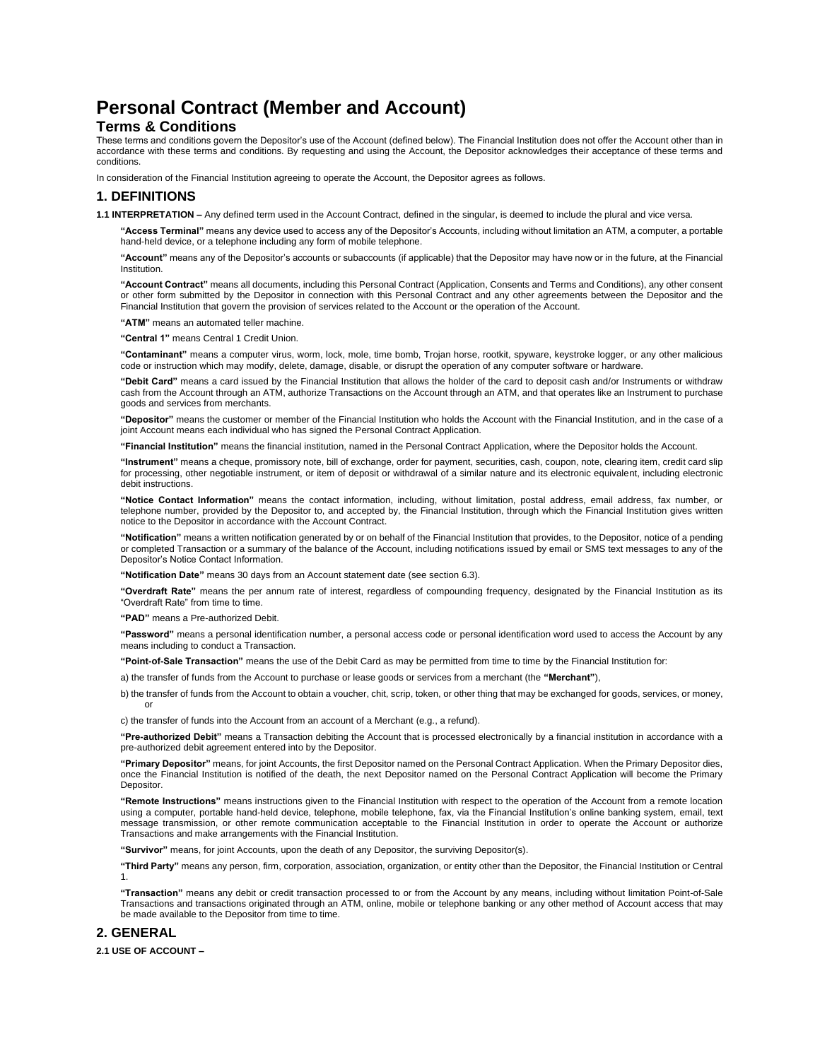# **Personal Contract (Member and Account)**

### **Terms & Conditions**

These terms and conditions govern the Depositor's use of the Account (defined below). The Financial Institution does not offer the Account other than in accordance with these terms and conditions. By requesting and using the Account, the Depositor acknowledges their acceptance of these terms and conditions.

In consideration of the Financial Institution agreeing to operate the Account, the Depositor agrees as follows.

### **1. DEFINITIONS**

**1.1 INTERPRETATION –** Any defined term used in the Account Contract, defined in the singular, is deemed to include the plural and vice versa.

**"Access Terminal"** means any device used to access any of the Depositor's Accounts, including without limitation an ATM, a computer, a portable hand-held device, or a telephone including any form of mobile telephone.

**"Account"** means any of the Depositor's accounts or subaccounts (if applicable) that the Depositor may have now or in the future, at the Financial **Institution** 

**"Account Contract"** means all documents, including this Personal Contract (Application, Consents and Terms and Conditions), any other consent or other form submitted by the Depositor in connection with this Personal Contract and any other agreements between the Depositor and the Financial Institution that govern the provision of services related to the Account or the operation of the Account.

**"ATM"** means an automated teller machine.

**"Central 1"** means Central 1 Credit Union.

**"Contaminant"** means a computer virus, worm, lock, mole, time bomb, Trojan horse, rootkit, spyware, keystroke logger, or any other malicious code or instruction which may modify, delete, damage, disable, or disrupt the operation of any computer software or hardware.

**"Debit Card"** means a card issued by the Financial Institution that allows the holder of the card to deposit cash and/or Instruments or withdraw cash from the Account through an ATM, authorize Transactions on the Account through an ATM, and that operates like an Instrument to purchase goods and services from merchants.

**"Depositor"** means the customer or member of the Financial Institution who holds the Account with the Financial Institution, and in the case of a joint Account means each individual who has signed the Personal Contract Application.

**"Financial Institution"** means the financial institution, named in the Personal Contract Application, where the Depositor holds the Account.

**"Instrument"** means a cheque, promissory note, bill of exchange, order for payment, securities, cash, coupon, note, clearing item, credit card slip for processing, other negotiable instrument, or item of deposit or withdrawal of a similar nature and its electronic equivalent, including electronic debit instructions.

**"Notice Contact Information"** means the contact information, including, without limitation, postal address, email address, fax number, or telephone number, provided by the Depositor to, and accepted by, the Financial Institution, through which the Financial Institution gives written notice to the Depositor in accordance with the Account Contract.

**"Notification"** means a written notification generated by or on behalf of the Financial Institution that provides, to the Depositor, notice of a pending or completed Transaction or a summary of the balance of the Account, including notifications issued by email or SMS text messages to any of the Depositor's Notice Contact Information.

**"Notification Date"** means 30 days from an Account statement date (see section 6.3).

**"Overdraft Rate"** means the per annum rate of interest, regardless of compounding frequency, designated by the Financial Institution as its "Overdraft Rate" from time to time.

**"PAD"** means a Pre-authorized Debit.

**"Password"** means a personal identification number, a personal access code or personal identification word used to access the Account by any means including to conduct a Transaction.

**"Point-of-Sale Transaction"** means the use of the Debit Card as may be permitted from time to time by the Financial Institution for:

a) the transfer of funds from the Account to purchase or lease goods or services from a merchant (the **"Merchant"**),

b) the transfer of funds from the Account to obtain a voucher, chit, scrip, token, or other thing that may be exchanged for goods, services, or money, or

c) the transfer of funds into the Account from an account of a Merchant (e.g., a refund).

**"Pre-authorized Debit"** means a Transaction debiting the Account that is processed electronically by a financial institution in accordance with a pre-authorized debit agreement entered into by the Depositor.

**"Primary Depositor"** means, for joint Accounts, the first Depositor named on the Personal Contract Application. When the Primary Depositor dies, once the Financial Institution is notified of the death, the next Depositor named on the Personal Contract Application will become the Primary Depositor.

**"Remote Instructions"** means instructions given to the Financial Institution with respect to the operation of the Account from a remote location using a computer, portable hand-held device, telephone, mobile telephone, fax, via the Financial Institution's online banking system, email, text message transmission, or other remote communication acceptable to the Financial Institution in order to operate the Account or authorize Transactions and make arrangements with the Financial Institution.

**"Survivor"** means, for joint Accounts, upon the death of any Depositor, the surviving Depositor(s).

**"Third Party"** means any person, firm, corporation, association, organization, or entity other than the Depositor, the Financial Institution or Central 1.

**"Transaction"** means any debit or credit transaction processed to or from the Account by any means, including without limitation Point-of-Sale Transactions and transactions originated through an ATM, online, mobile or telephone banking or any other method of Account access that may be made available to the Depositor from time to time.

### **2. GENERAL**

**2.1 USE OF ACCOUNT –**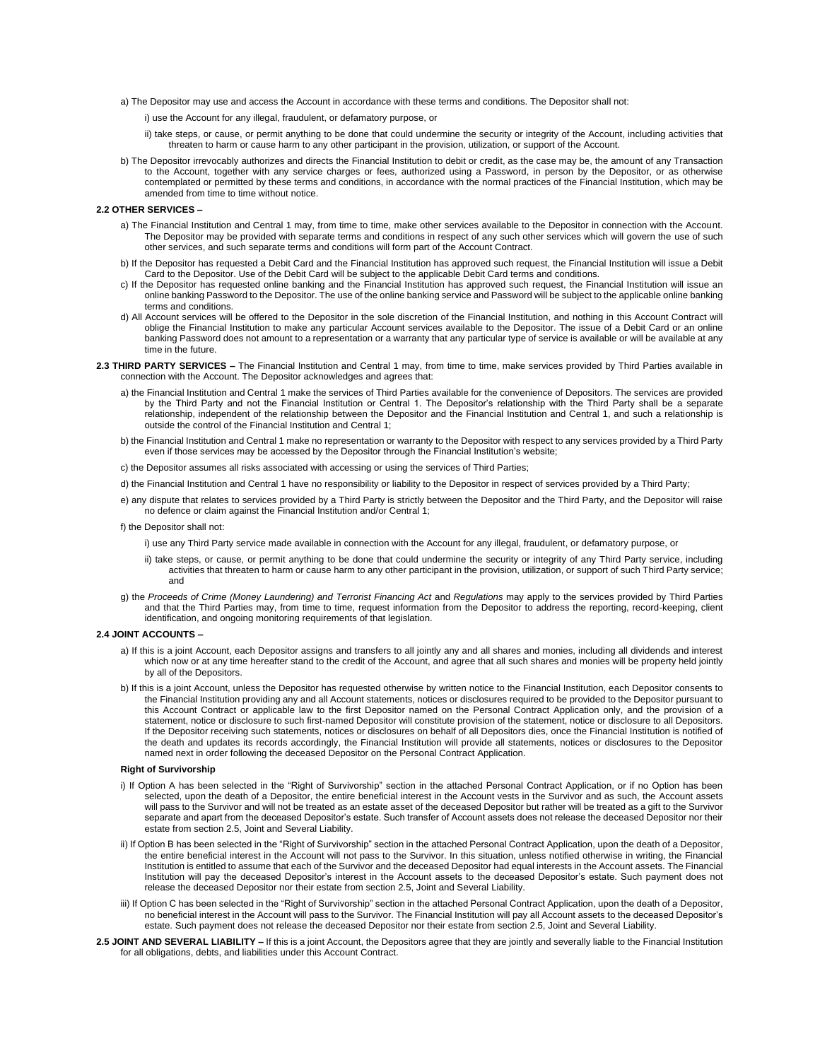- a) The Depositor may use and access the Account in accordance with these terms and conditions. The Depositor shall not:
	- i) use the Account for any illegal, fraudulent, or defamatory purpose, or
	- ii) take steps, or cause, or permit anything to be done that could undermine the security or integrity of the Account, including activities that threaten to harm or cause harm to any other participant in the provision, utilization, or support of the Account.
- b) The Depositor irrevocably authorizes and directs the Financial Institution to debit or credit, as the case may be, the amount of any Transaction to the Account, together with any service charges or fees, authorized using a Password, in person by the Depositor, or as otherwise contemplated or permitted by these terms and conditions, in accordance with the normal practices of the Financial Institution, which may be amended from time to time without notice.

### **2.2 OTHER SERVICES –**

- a) The Financial Institution and Central 1 may, from time to time, make other services available to the Depositor in connection with the Account. The Depositor may be provided with separate terms and conditions in respect of any such other services which will govern the use of such other services, and such separate terms and conditions will form part of the Account Contract.
- b) If the Depositor has requested a Debit Card and the Financial Institution has approved such request, the Financial Institution will issue a Debit Card to the Depositor. Use of the Debit Card will be subject to the applicable Debit Card terms and conditions.
- c) If the Depositor has requested online banking and the Financial Institution has approved such request, the Financial Institution will issue an online banking Password to the Depositor. The use of the online banking service and Password will be subject to the applicable online banking terms and conditions.
- d) All Account services will be offered to the Depositor in the sole discretion of the Financial Institution, and nothing in this Account Contract will oblige the Financial Institution to make any particular Account services available to the Depositor. The issue of a Debit Card or an online banking Password does not amount to a representation or a warranty that any particular type of service is available or will be available at any time in the future.
- **2.3 THIRD PARTY SERVICES –** The Financial Institution and Central 1 may, from time to time, make services provided by Third Parties available in connection with the Account. The Depositor acknowledges and agrees that:
	- a) the Financial Institution and Central 1 make the services of Third Parties available for the convenience of Depositors. The services are provided by the Third Party and not the Financial Institution or Central 1. The Depositor's relationship with the Third Party shall be a separate relationship, independent of the relationship between the Depositor and the Financial Institution and Central 1, and such a relationship is outside the control of the Financial Institution and Central 1;
	- b) the Financial Institution and Central 1 make no representation or warranty to the Depositor with respect to any services provided by a Third Party even if those services may be accessed by the Depositor through the Financial Institution's website;
	- c) the Depositor assumes all risks associated with accessing or using the services of Third Parties;
	- d) the Financial Institution and Central 1 have no responsibility or liability to the Depositor in respect of services provided by a Third Party;
	- e) any dispute that relates to services provided by a Third Party is strictly between the Depositor and the Third Party, and the Depositor will raise no defence or claim against the Financial Institution and/or Central 1;
	- f) the Depositor shall not:
		- i) use any Third Party service made available in connection with the Account for any illegal, fraudulent, or defamatory purpose, or
		- ii) take steps, or cause, or permit anything to be done that could undermine the security or integrity of any Third Party service, including activities that threaten to harm or cause harm to any other participant in the provision, utilization, or support of such Third Party service; and
	- g) the Proceeds of Crime (Money Laundering) and Terrorist Financing Act and Regulations may apply to the services provided by Third Parties and that the Third Parties may, from time to time, request information from the Depositor to address the reporting, record-keeping, client identification, and ongoing monitoring requirements of that legislation.

#### **2.4 JOINT ACCOUNTS –**

- a) If this is a joint Account, each Depositor assigns and transfers to all jointly any and all shares and monies, including all dividends and interest which now or at any time hereafter stand to the credit of the Account, and agree that all such shares and monies will be property held jointly by all of the Depositors.
- b) If this is a joint Account, unless the Depositor has requested otherwise by written notice to the Financial Institution, each Depositor consents to the Financial Institution providing any and all Account statements, notices or disclosures required to be provided to the Depositor pursuant to this Account Contract or applicable law to the first Depositor named on the Personal Contract Application only, and the provision of a statement, notice or disclosure to such first-named Depositor will constitute provision of the statement, notice or disclosure to all Depositors. If the Depositor receiving such statements, notices or disclosures on behalf of all Depositors dies, once the Financial Institution is notified of the death and updates its records accordingly, the Financial Institution will provide all statements, notices or disclosures to the Depositor named next in order following the deceased Depositor on the Personal Contract Application.

### **Right of Survivorship**

- i) If Option A has been selected in the "Right of Survivorship" section in the attached Personal Contract Application, or if no Option has been selected, upon the death of a Depositor, the entire beneficial interest in the Account vests in the Survivor and as such, the Account assets will pass to the Survivor and will not be treated as an estate asset of the deceased Depositor but rather will be treated as a gift to the Survivor separate and apart from the deceased Depositor's estate. Such transfer of Account assets does not release the deceased Depositor nor their estate from section 2.5, Joint and Several Liability.
- ii) If Option B has been selected in the "Right of Survivorship" section in the attached Personal Contract Application, upon the death of a Depositor, the entire beneficial interest in the Account will not pass to the Survivor. In this situation, unless notified otherwise in writing, the Financial Institution is entitled to assume that each of the Survivor and the deceased Depositor had equal interests in the Account assets. The Financial Institution will pay the deceased Depositor's interest in the Account assets to the deceased Depositor's estate. Such payment does not release the deceased Depositor nor their estate from section 2.5, Joint and Several Liability.
- iii) If Option C has been selected in the "Right of Survivorship" section in the attached Personal Contract Application, upon the death of a Depositor, no beneficial interest in the Account will pass to the Survivor. The Financial Institution will pay all Account assets to the deceased Depositor's estate. Such payment does not release the deceased Depositor nor their estate from section 2.5, Joint and Several Liability.
- 2.5 JOINT AND SEVERAL LIABILITY If this is a joint Account, the Depositors agree that they are jointly and severally liable to the Financial Institution for all obligations, debts, and liabilities under this Account Contract.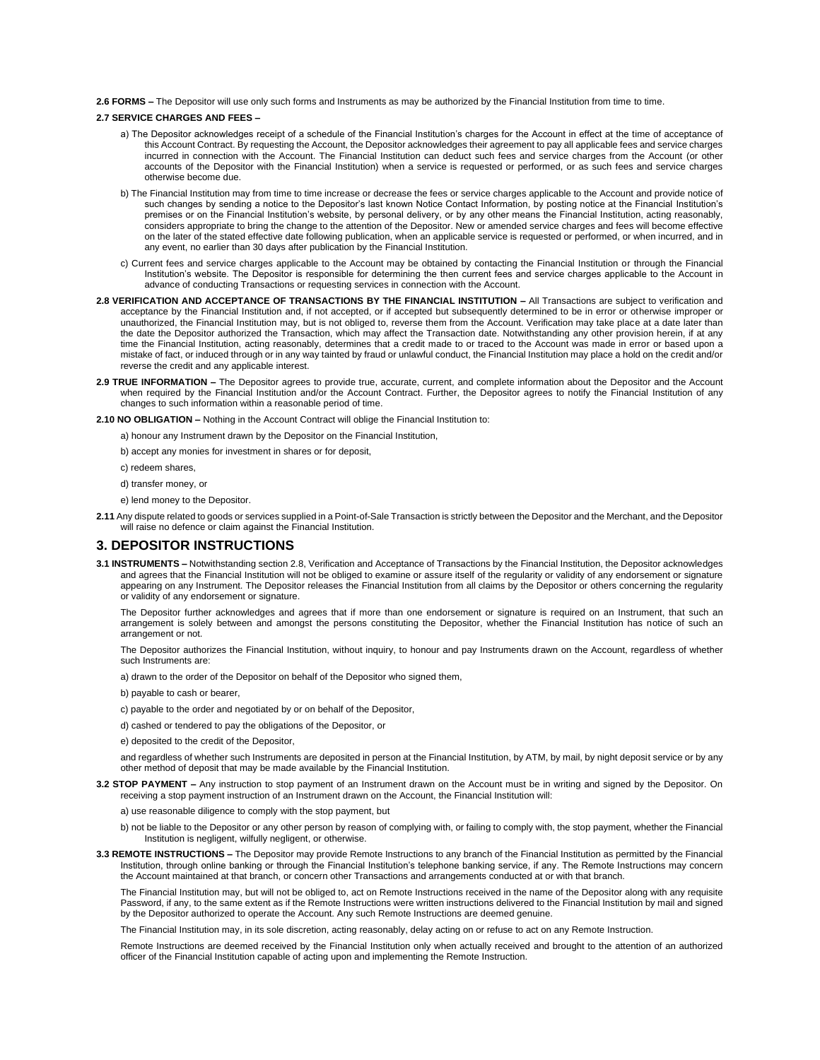**2.6 FORMS –** The Depositor will use only such forms and Instruments as may be authorized by the Financial Institution from time to time.

### **2.7 SERVICE CHARGES AND FEES –**

- a) The Depositor acknowledges receipt of a schedule of the Financial Institution's charges for the Account in effect at the time of acceptance of this Account Contract. By requesting the Account, the Depositor acknowledges their agreement to pay all applicable fees and service charges incurred in connection with the Account. The Financial Institution can deduct such fees and service charges from the Account (or other accounts of the Depositor with the Financial Institution) when a service is requested or performed, or as such fees and service charges otherwise become due.
- b) The Financial Institution may from time to time increase or decrease the fees or service charges applicable to the Account and provide notice of such changes by sending a notice to the Depositor's last known Notice Contact Information, by posting notice at the Financial Institution's premises or on the Financial Institution's website, by personal delivery, or by any other means the Financial Institution, acting reasonably, considers appropriate to bring the change to the attention of the Depositor. New or amended service charges and fees will become effective on the later of the stated effective date following publication, when an applicable service is requested or performed, or when incurred, and in any event, no earlier than 30 days after publication by the Financial Institution.
- c) Current fees and service charges applicable to the Account may be obtained by contacting the Financial Institution or through the Financial Institution's website. The Depositor is responsible for determining the then current fees and service charges applicable to the Account in advance of conducting Transactions or requesting services in connection with the Account.
- **2.8 VERIFICATION AND ACCEPTANCE OF TRANSACTIONS BY THE FINANCIAL INSTITUTION –** All Transactions are subject to verification and acceptance by the Financial Institution and, if not accepted, or if accepted but subsequently determined to be in error or otherwise improper or unauthorized, the Financial Institution may, but is not obliged to, reverse them from the Account. Verification may take place at a date later than the date the Depositor authorized the Transaction, which may affect the Transaction date. Notwithstanding any other provision herein, if at any time the Financial Institution, acting reasonably, determines that a credit made to or traced to the Account was made in error or based upon a mistake of fact, or induced through or in any way tainted by fraud or unlawful conduct, the Financial Institution may place a hold on the credit and/or reverse the credit and any applicable interest.
- **2.9 TRUE INFORMATION –** The Depositor agrees to provide true, accurate, current, and complete information about the Depositor and the Account when required by the Financial Institution and/or the Account Contract. Further, the Depositor agrees to notify the Financial Institution of any changes to such information within a reasonable period of time.

**2.10 NO OBLIGATION –** Nothing in the Account Contract will oblige the Financial Institution to:

a) honour any Instrument drawn by the Depositor on the Financial Institution,

b) accept any monies for investment in shares or for deposit,

c) redeem shares,

d) transfer money, or

e) lend money to the Depositor.

**2.11** Any dispute related to goods or services supplied in a Point-of-Sale Transaction is strictly between the Depositor and the Merchant, and the Depositor will raise no defence or claim against the Financial Institution.

### **3. DEPOSITOR INSTRUCTIONS**

**3.1 INSTRUMENTS –** Notwithstanding section 2.8, Verification and Acceptance of Transactions by the Financial Institution, the Depositor acknowledges and agrees that the Financial Institution will not be obliged to examine or assure itself of the regularity or validity of any endorsement or signature appearing on any Instrument. The Depositor releases the Financial Institution from all claims by the Depositor or others concerning the regularity or validity of any endorsement or signature.

The Depositor further acknowledges and agrees that if more than one endorsement or signature is required on an Instrument, that such an arrangement is solely between and amongst the persons constituting the Depositor, whether the Financial Institution has notice of such an arrangement or not.

The Depositor authorizes the Financial Institution, without inquiry, to honour and pay Instruments drawn on the Account, regardless of whether such Instruments are:

a) drawn to the order of the Depositor on behalf of the Depositor who signed them,

b) payable to cash or bearer,

c) payable to the order and negotiated by or on behalf of the Depositor,

d) cashed or tendered to pay the obligations of the Depositor, or

e) deposited to the credit of the Depositor,

and regardless of whether such Instruments are deposited in person at the Financial Institution, by ATM, by mail, by night deposit service or by any other method of deposit that may be made available by the Financial Institution.

**3.2 STOP PAYMENT –** Any instruction to stop payment of an Instrument drawn on the Account must be in writing and signed by the Depositor. On receiving a stop payment instruction of an Instrument drawn on the Account, the Financial Institution will:

a) use reasonable diligence to comply with the stop payment, but

- b) not be liable to the Depositor or any other person by reason of complying with, or failing to comply with, the stop payment, whether the Financial Institution is negligent, wilfully negligent, or otherwise.
- **3.3 REMOTE INSTRUCTIONS –** The Depositor may provide Remote Instructions to any branch of the Financial Institution as permitted by the Financial Institution, through online banking or through the Financial Institution's telephone banking service, if any. The Remote Instructions may concern the Account maintained at that branch, or concern other Transactions and arrangements conducted at or with that branch.

The Financial Institution may, but will not be obliged to, act on Remote Instructions received in the name of the Depositor along with any requisite Password, if any, to the same extent as if the Remote Instructions were written instructions delivered to the Financial Institution by mail and signed by the Depositor authorized to operate the Account. Any such Remote Instructions are deemed genuine.

The Financial Institution may, in its sole discretion, acting reasonably, delay acting on or refuse to act on any Remote Instruction.

Remote Instructions are deemed received by the Financial Institution only when actually received and brought to the attention of an authorized officer of the Financial Institution capable of acting upon and implementing the Remote Instruction.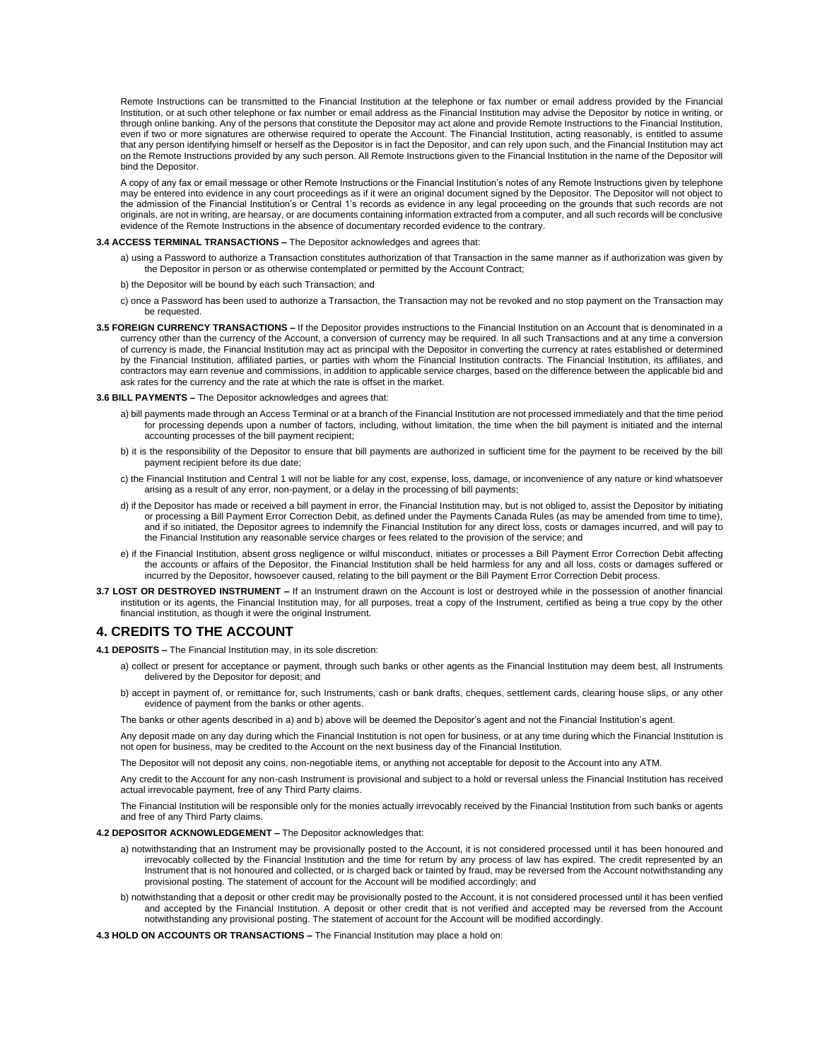Remote Instructions can be transmitted to the Financial Institution at the telephone or fax number or email address provided by the Financial Institution, or at such other telephone or fax number or email address as the Financial Institution may advise the Depositor by notice in writing, or through online banking. Any of the persons that constitute the Depositor may act alone and provide Remote Instructions to the Financial Institution, even if two or more signatures are otherwise required to operate the Account. The Financial Institution, acting reasonably, is entitled to assume that any person identifying himself or herself as the Depositor is in fact the Depositor, and can rely upon such, and the Financial Institution may act on the Remote Instructions provided by any such person. All Remote Instructions given to the Financial Institution in the name of the Depositor will bind the Depositor.

A copy of any fax or email message or other Remote Instructions or the Financial Institution's notes of any Remote Instructions given by telephone may be entered into evidence in any court proceedings as if it were an original document signed by the Depositor. The Depositor will not object to the admission of the Financial Institution's or Central 1's records as evidence in any legal proceeding on the grounds that such records are not originals, are not in writing, are hearsay, or are documents containing information extracted from a computer, and all such records will be conclusive evidence of the Remote Instructions in the absence of documentary recorded evidence to the contrary.

### **3.4 ACCESS TERMINAL TRANSACTIONS –** The Depositor acknowledges and agrees that:

a) using a Password to authorize a Transaction constitutes authorization of that Transaction in the same manner as if authorization was given by the Depositor in person or as otherwise contemplated or permitted by the Account Contract;

#### b) the Depositor will be bound by each such Transaction; and

- c) once a Password has been used to authorize a Transaction, the Transaction may not be revoked and no stop payment on the Transaction may be requested.
- **3.5 FOREIGN CURRENCY TRANSACTIONS –** If the Depositor provides instructions to the Financial Institution on an Account that is denominated in a currency other than the currency of the Account, a conversion of currency may be required. In all such Transactions and at any time a conversion of currency is made, the Financial Institution may act as principal with the Depositor in converting the currency at rates established or determined by the Financial Institution, affiliated parties, or parties with whom the Financial Institution contracts. The Financial Institution, its affiliates, and contractors may earn revenue and commissions, in addition to applicable service charges, based on the difference between the applicable bid and ask rates for the currency and the rate at which the rate is offset in the market.

#### **3.6 BILL PAYMENTS –** The Depositor acknowledges and agrees that:

- a) bill payments made through an Access Terminal or at a branch of the Financial Institution are not processed immediately and that the time period for processing depends upon a number of factors, including, without limitation, the time when the bill payment is initiated and the internal accounting processes of the bill payment recipient;
- b) it is the responsibility of the Depositor to ensure that bill payments are authorized in sufficient time for the payment to be received by the bill payment recipient before its due date;
- c) the Financial Institution and Central 1 will not be liable for any cost, expense, loss, damage, or inconvenience of any nature or kind whatsoever arising as a result of any error, non-payment, or a delay in the processing of bill payments;
- d) if the Depositor has made or received a bill payment in error, the Financial Institution may, but is not obliged to, assist the Depositor by initiating or processing a Bill Payment Error Correction Debit, as defined under the Payments Canada Rules (as may be amended from time to time), and if so initiated, the Depositor agrees to indemnify the Financial Institution for any direct loss, costs or damages incurred, and will pay to the Financial Institution any reasonable service charges or fees related to the provision of the service; and
- e) if the Financial Institution, absent gross negligence or wilful misconduct, initiates or processes a Bill Payment Error Correction Debit affecting the accounts or affairs of the Depositor, the Financial Institution shall be held harmless for any and all loss, costs or damages suffered or incurred by the Depositor, howsoever caused, relating to the bill payment or the Bill Payment Error Correction Debit process.
- **3.7 LOST OR DESTROYED INSTRUMENT –** If an Instrument drawn on the Account is lost or destroyed while in the possession of another financial institution or its agents, the Financial Institution may, for all purposes, treat a copy of the Instrument, certified as being a true copy by the other financial institution, as though it were the original Instrument.

### **4. CREDITS TO THE ACCOUNT**

- **4.1 DEPOSITS –** The Financial Institution may, in its sole discretion:
	- a) collect or present for acceptance or payment, through such banks or other agents as the Financial Institution may deem best, all Instruments delivered by the Depositor for deposit; and
	- b) accept in payment of, or remittance for, such Instruments, cash or bank drafts, cheques, settlement cards, clearing house slips, or any other evidence of payment from the banks or other agents.

The banks or other agents described in a) and b) above will be deemed the Depositor's agent and not the Financial Institution's agent.

Any deposit made on any day during which the Financial Institution is not open for business, or at any time during which the Financial Institution is not open for business, may be credited to the Account on the next business day of the Financial Institution.

The Depositor will not deposit any coins, non-negotiable items, or anything not acceptable for deposit to the Account into any ATM.

Any credit to the Account for any non-cash Instrument is provisional and subject to a hold or reversal unless the Financial Institution has received actual irrevocable payment, free of any Third Party claims.

The Financial Institution will be responsible only for the monies actually irrevocably received by the Financial Institution from such banks or agents and free of any Third Party claims.

### **4.2 DEPOSITOR ACKNOWLEDGEMENT –** The Depositor acknowledges that:

- a) notwithstanding that an Instrument may be provisionally posted to the Account, it is not considered processed until it has been honoured and irrevocably collected by the Financial Institution and the time for return by any process of law has expired. The credit represented by an Instrument that is not honoured and collected, or is charged back or tainted by fraud, may be reversed from the Account notwithstanding any provisional posting. The statement of account for the Account will be modified accordingly; and
- b) notwithstanding that a deposit or other credit may be provisionally posted to the Account, it is not considered processed until it has been verified and accepted by the Financial Institution. A deposit or other credit that is not verified and accepted may be reversed from the Account notwithstanding any provisional posting. The statement of account for the Account will be modified accordingly.

**4.3 HOLD ON ACCOUNTS OR TRANSACTIONS –** The Financial Institution may place a hold on: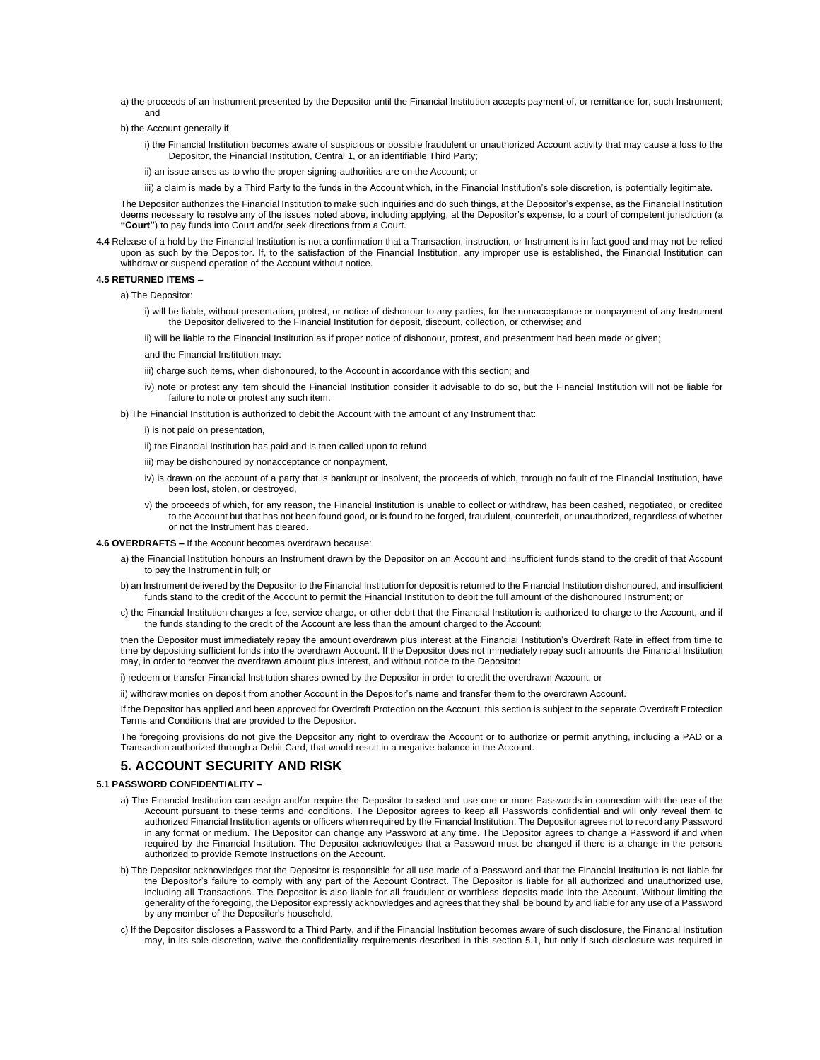- a) the proceeds of an Instrument presented by the Depositor until the Financial Institution accepts payment of, or remittance for, such Instrument; and
- b) the Account generally if
	- i) the Financial Institution becomes aware of suspicious or possible fraudulent or unauthorized Account activity that may cause a loss to the Depositor, the Financial Institution, Central 1, or an identifiable Third Party;
	- ii) an issue arises as to who the proper signing authorities are on the Account; or
	- iii) a claim is made by a Third Party to the funds in the Account which, in the Financial Institution's sole discretion, is potentially legitimate.

The Depositor authorizes the Financial Institution to make such inquiries and do such things, at the Depositor's expense, as the Financial Institution deems necessary to resolve any of the issues noted above, including applying, at the Depositor's expense, to a court of competent jurisdiction (a **"Court"**) to pay funds into Court and/or seek directions from a Court.

**4.4** Release of a hold by the Financial Institution is not a confirmation that a Transaction, instruction, or Instrument is in fact good and may not be relied upon as such by the Depositor. If, to the satisfaction of the Financial Institution, any improper use is established, the Financial Institution can withdraw or suspend operation of the Account without notice.

### **4.5 RETURNED ITEMS –**

a) The Depositor:

- i) will be liable, without presentation, protest, or notice of dishonour to any parties, for the nonacceptance or nonpayment of any Instrument the Depositor delivered to the Financial Institution for deposit, discount, collection, or otherwise; and
- ii) will be liable to the Financial Institution as if proper notice of dishonour, protest, and presentment had been made or given;
- and the Financial Institution may:
- iii) charge such items, when dishonoured, to the Account in accordance with this section; and
- iv) note or protest any item should the Financial Institution consider it advisable to do so, but the Financial Institution will not be liable for failure to note or protest any such item.
- b) The Financial Institution is authorized to debit the Account with the amount of any Instrument that:
	- i) is not paid on presentation,
	- ii) the Financial Institution has paid and is then called upon to refund,
	- iii) may be dishonoured by nonacceptance or nonpayment,
	- iv) is drawn on the account of a party that is bankrupt or insolvent, the proceeds of which, through no fault of the Financial Institution, have been lost, stolen, or destroyed,
	- v) the proceeds of which, for any reason, the Financial Institution is unable to collect or withdraw, has been cashed, negotiated, or credited to the Account but that has not been found good, or is found to be forged, fraudulent, counterfeit, or unauthorized, regardless of whether or not the Instrument has cleared.
- **4.6 OVERDRAFTS –** If the Account becomes overdrawn because:
	- a) the Financial Institution honours an Instrument drawn by the Depositor on an Account and insufficient funds stand to the credit of that Account to pay the Instrument in full; or
	- b) an Instrument delivered by the Depositor to the Financial Institution for deposit is returned to the Financial Institution dishonoured, and insufficient funds stand to the credit of the Account to permit the Financial Institution to debit the full amount of the dishonoured Instrument; or
	- c) the Financial Institution charges a fee, service charge, or other debit that the Financial Institution is authorized to charge to the Account, and if the funds standing to the credit of the Account are less than the amount charged to the Account;

then the Depositor must immediately repay the amount overdrawn plus interest at the Financial Institution's Overdraft Rate in effect from time to time by depositing sufficient funds into the overdrawn Account. If the Depositor does not immediately repay such amounts the Financial Institution may, in order to recover the overdrawn amount plus interest, and without notice to the Depositor:

i) redeem or transfer Financial Institution shares owned by the Depositor in order to credit the overdrawn Account, or

ii) withdraw monies on deposit from another Account in the Depositor's name and transfer them to the overdrawn Account.

If the Depositor has applied and been approved for Overdraft Protection on the Account, this section is subject to the separate Overdraft Protection Terms and Conditions that are provided to the Depositor.

The foregoing provisions do not give the Depositor any right to overdraw the Account or to authorize or permit anything, including a PAD or a Transaction authorized through a Debit Card, that would result in a negative balance in the Account.

### **5. ACCOUNT SECURITY AND RISK**

### **5.1 PASSWORD CONFIDENTIALITY –**

- a) The Financial Institution can assign and/or require the Depositor to select and use one or more Passwords in connection with the use of the Account pursuant to these terms and conditions. The Depositor agrees to keep all Passwords confidential and will only reveal them to authorized Financial Institution agents or officers when required by the Financial Institution. The Depositor agrees not to record any Password in any format or medium. The Depositor can change any Password at any time. The Depositor agrees to change a Password if and when required by the Financial Institution. The Depositor acknowledges that a Password must be changed if there is a change in the persons authorized to provide Remote Instructions on the Account.
- b) The Depositor acknowledges that the Depositor is responsible for all use made of a Password and that the Financial Institution is not liable for the Depositor's failure to comply with any part of the Account Contract. The Depositor is liable for all authorized and unauthorized use, including all Transactions. The Depositor is also liable for all fraudulent or worthless deposits made into the Account. Without limiting the generality of the foregoing, the Depositor expressly acknowledges and agrees that they shall be bound by and liable for any use of a Password by any member of the Depositor's household.
- c) If the Depositor discloses a Password to a Third Party, and if the Financial Institution becomes aware of such disclosure, the Financial Institution may, in its sole discretion, waive the confidentiality requirements described in this section 5.1, but only if such disclosure was required in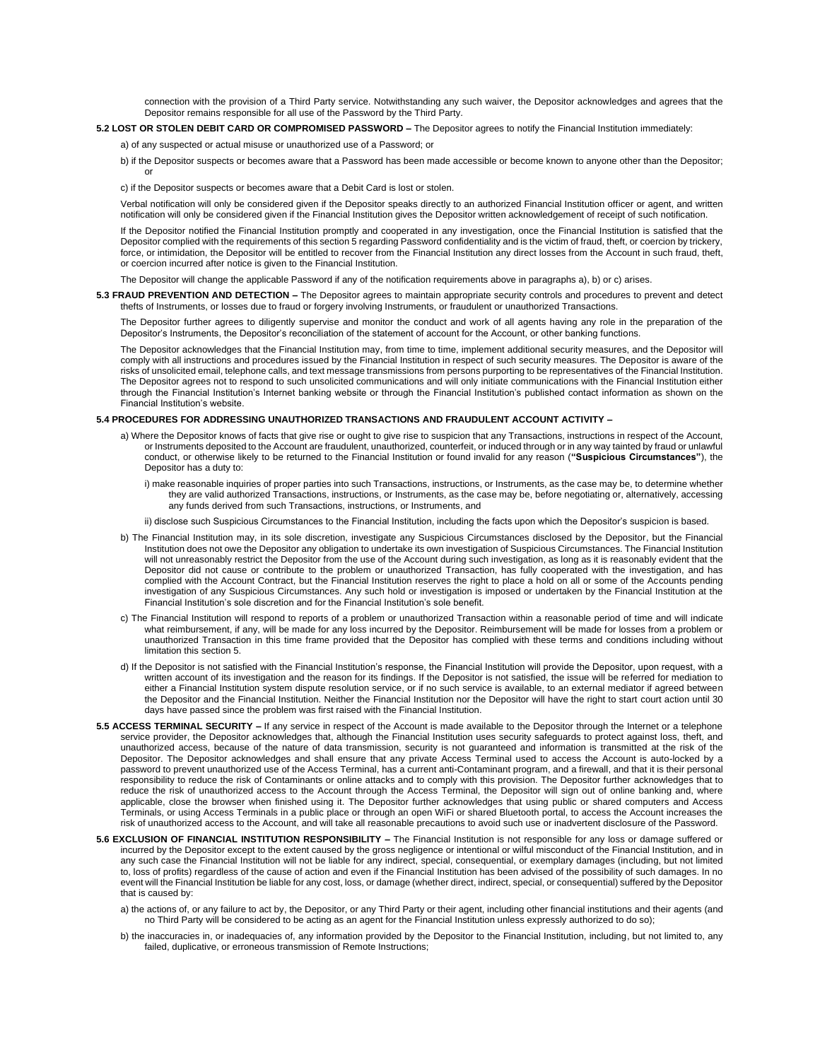connection with the provision of a Third Party service. Notwithstanding any such waiver, the Depositor acknowledges and agrees that the Depositor remains responsible for all use of the Password by the Third Party.

### **5.2 LOST OR STOLEN DEBIT CARD OR COMPROMISED PASSWORD –** The Depositor agrees to notify the Financial Institution immediately:

a) of any suspected or actual misuse or unauthorized use of a Password; or

b) if the Depositor suspects or becomes aware that a Password has been made accessible or become known to anyone other than the Depositor; or

c) if the Depositor suspects or becomes aware that a Debit Card is lost or stolen.

Verbal notification will only be considered given if the Depositor speaks directly to an authorized Financial Institution officer or agent, and written notification will only be considered given if the Financial Institution gives the Depositor written acknowledgement of receipt of such notification.

If the Depositor notified the Financial Institution promptly and cooperated in any investigation, once the Financial Institution is satisfied that the Depositor complied with the requirements of this section 5 regarding Password confidentiality and is the victim of fraud, theft, or coercion by trickery, force, or intimidation, the Depositor will be entitled to recover from the Financial Institution any direct losses from the Account in such fraud, theft, or coercion incurred after notice is given to the Financial Institution.

The Depositor will change the applicable Password if any of the notification requirements above in paragraphs a), b) or c) arises.

**5.3 FRAUD PREVENTION AND DETECTION –** The Depositor agrees to maintain appropriate security controls and procedures to prevent and detect thefts of Instruments, or losses due to fraud or forgery involving Instruments, or fraudulent or unauthorized Transactions.

The Depositor further agrees to diligently supervise and monitor the conduct and work of all agents having any role in the preparation of the Depositor's Instruments, the Depositor's reconciliation of the statement of account for the Account, or other banking functions.

The Depositor acknowledges that the Financial Institution may, from time to time, implement additional security measures, and the Depositor will comply with all instructions and procedures issued by the Financial Institution in respect of such security measures. The Depositor is aware of the risks of unsolicited email, telephone calls, and text message transmissions from persons purporting to be representatives of the Financial Institution. The Depositor agrees not to respond to such unsolicited communications and will only initiate communications with the Financial Institution either through the Financial Institution's Internet banking website or through the Financial Institution's published contact information as shown on the Financial Institution's website.

### **5.4 PROCEDURES FOR ADDRESSING UNAUTHORIZED TRANSACTIONS AND FRAUDULENT ACCOUNT ACTIVITY –**

- a) Where the Depositor knows of facts that give rise or ought to give rise to suspicion that any Transactions, instructions in respect of the Account, or Instruments deposited to the Account are fraudulent, unauthorized, counterfeit, or induced through or in any way tainted by fraud or unlawful conduct, or otherwise likely to be returned to the Financial Institution or found invalid for any reason (**"Suspicious Circumstances"**), the Depositor has a duty to:
	- i) make reasonable inquiries of proper parties into such Transactions, instructions, or Instruments, as the case may be, to determine whether they are valid authorized Transactions, instructions, or Instruments, as the case may be, before negotiating or, alternatively, accessing any funds derived from such Transactions, instructions, or Instruments, and
	- ii) disclose such Suspicious Circumstances to the Financial Institution, including the facts upon which the Depositor's suspicion is based.
- b) The Financial Institution may, in its sole discretion, investigate any Suspicious Circumstances disclosed by the Depositor, but the Financial Institution does not owe the Depositor any obligation to undertake its own investigation of Suspicious Circumstances. The Financial Institution will not unreasonably restrict the Depositor from the use of the Account during such investigation, as long as it is reasonably evident that the Depositor did not cause or contribute to the problem or unauthorized Transaction, has fully cooperated with the investigation, and has complied with the Account Contract, but the Financial Institution reserves the right to place a hold on all or some of the Accounts pending investigation of any Suspicious Circumstances. Any such hold or investigation is imposed or undertaken by the Financial Institution at the Financial Institution's sole discretion and for the Financial Institution's sole benefit.
- c) The Financial Institution will respond to reports of a problem or unauthorized Transaction within a reasonable period of time and will indicate what reimbursement, if any, will be made for any loss incurred by the Depositor. Reimbursement will be made for losses from a problem or unauthorized Transaction in this time frame provided that the Depositor has complied with these terms and conditions including without limitation this section 5.
- d) If the Depositor is not satisfied with the Financial Institution's response, the Financial Institution will provide the Depositor, upon request, with a written account of its investigation and the reason for its findings. If the Depositor is not satisfied, the issue will be referred for mediation to either a Financial Institution system dispute resolution service, or if no such service is available, to an external mediator if agreed between the Depositor and the Financial Institution. Neither the Financial Institution nor the Depositor will have the right to start court action until 30 days have passed since the problem was first raised with the Financial Institution.
- **5.5 ACCESS TERMINAL SECURITY –** If any service in respect of the Account is made available to the Depositor through the Internet or a telephone service provider, the Depositor acknowledges that, although the Financial Institution uses security safeguards to protect against loss, theft, and unauthorized access, because of the nature of data transmission, security is not guaranteed and information is transmitted at the risk of the Depositor. The Depositor acknowledges and shall ensure that any private Access Terminal used to access the Account is auto-locked by a password to prevent unauthorized use of the Access Terminal, has a current anti-Contaminant program, and a firewall, and that it is their personal responsibility to reduce the risk of Contaminants or online attacks and to comply with this provision. The Depositor further acknowledges that to reduce the risk of unauthorized access to the Account through the Access Terminal, the Depositor will sign out of online banking and, where applicable, close the browser when finished using it. The Depositor further acknowledges that using public or shared computers and Access Terminals, or using Access Terminals in a public place or through an open WiFi or shared Bluetooth portal, to access the Account increases the risk of unauthorized access to the Account, and will take all reasonable precautions to avoid such use or inadvertent disclosure of the Password.
- **5.6 EXCLUSION OF FINANCIAL INSTITUTION RESPONSIBILITY –** The Financial Institution is not responsible for any loss or damage suffered or incurred by the Depositor except to the extent caused by the gross negligence or intentional or wilful misconduct of the Financial Institution, and in any such case the Financial Institution will not be liable for any indirect, special, consequential, or exemplary damages (including, but not limited to, loss of profits) regardless of the cause of action and even if the Financial Institution has been advised of the possibility of such damages. In no event will the Financial Institution be liable for any cost, loss, or damage (whether direct, indirect, special, or consequential) suffered by the Depositor that is caused by:
	- a) the actions of, or any failure to act by, the Depositor, or any Third Party or their agent, including other financial institutions and their agents (and no Third Party will be considered to be acting as an agent for the Financial Institution unless expressly authorized to do so);
	- b) the inaccuracies in, or inadequacies of, any information provided by the Depositor to the Financial Institution, including, but not limited to, any failed, duplicative, or erroneous transmission of Remote Instructions;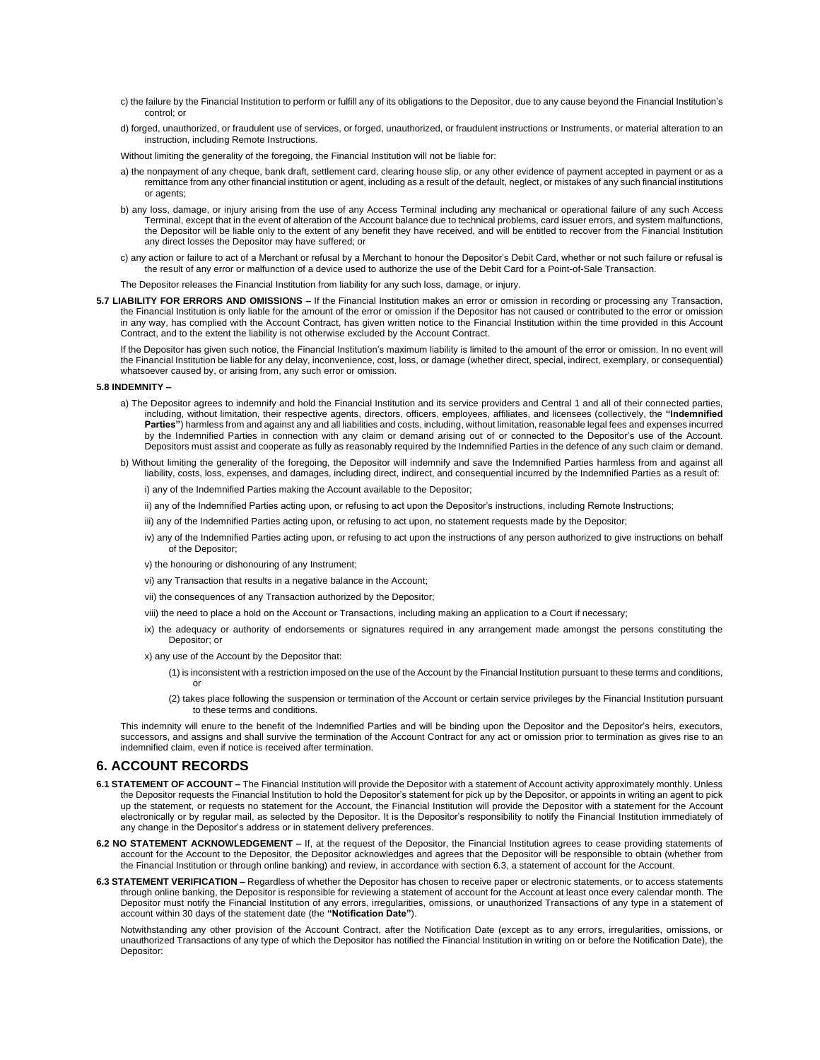- c) the failure by the Financial Institution to perform or fulfill any of its obligations to the Depositor, due to any cause beyond the Financial Institution's control; or
- d) forged, unauthorized, or fraudulent use of services, or forged, unauthorized, or fraudulent instructions or Instruments, or material alteration to an instruction, including Remote Instructions.

Without limiting the generality of the foregoing, the Financial Institution will not be liable for:

- a) the nonpayment of any cheque, bank draft, settlement card, clearing house slip, or any other evidence of payment accepted in payment or as a remittance from any other financial institution or agent, including as a result of the default, neglect, or mistakes of any such financial institutions or agents;
- b) any loss, damage, or injury arising from the use of any Access Terminal including any mechanical or operational failure of any such Access Terminal, except that in the event of alteration of the Account balance due to technical problems, card issuer errors, and system malfunctions, the Depositor will be liable only to the extent of any benefit they have received, and will be entitled to recover from the Financial Institution any direct losses the Depositor may have suffered; or
- c) any action or failure to act of a Merchant or refusal by a Merchant to honour the Depositor's Debit Card, whether or not such failure or refusal is the result of any error or malfunction of a device used to authorize the use of the Debit Card for a Point-of-Sale Transaction.

The Depositor releases the Financial Institution from liability for any such loss, damage, or injury.

**5.7 LIABILITY FOR ERRORS AND OMISSIONS –** If the Financial Institution makes an error or omission in recording or processing any Transaction, the Financial Institution is only liable for the amount of the error or omission if the Depositor has not caused or contributed to the error or omission in any way, has complied with the Account Contract, has given written notice to the Financial Institution within the time provided in this Account Contract, and to the extent the liability is not otherwise excluded by the Account Contract.

If the Depositor has given such notice, the Financial Institution's maximum liability is limited to the amount of the error or omission. In no event will the Financial Institution be liable for any delay, inconvenience, cost, loss, or damage (whether direct, special, indirect, exemplary, or consequential) whatsoever caused by, or arising from, any such error or omission.

#### **5.8 INDEMNITY –**

- a) The Depositor agrees to indemnify and hold the Financial Institution and its service providers and Central 1 and all of their connected parties, including, without limitation, their respective agents, directors, officers, employees, affiliates, and licensees (collectively, the **"Indemnified Parties"**) harmless from and against any and all liabilities and costs, including, without limitation, reasonable legal fees and expenses incurred by the Indemnified Parties in connection with any claim or demand arising out of or connected to the Depositor's use of the Account. Depositors must assist and cooperate as fully as reasonably required by the Indemnified Parties in the defence of any such claim or demand.
- b) Without limiting the generality of the foregoing, the Depositor will indemnify and save the Indemnified Parties harmless from and against all liability, costs, loss, expenses, and damages, including direct, indirect, and consequential incurred by the Indemnified Parties as a result of:

i) any of the Indemnified Parties making the Account available to the Depositor;

- ii) any of the Indemnified Parties acting upon, or refusing to act upon the Depositor's instructions, including Remote Instructions;
- iii) any of the Indemnified Parties acting upon, or refusing to act upon, no statement requests made by the Depositor;
- iv) any of the Indemnified Parties acting upon, or refusing to act upon the instructions of any person authorized to give instructions on behalf of the Depositor;
- v) the honouring or dishonouring of any Instrument;
- vi) any Transaction that results in a negative balance in the Account;
- vii) the consequences of any Transaction authorized by the Depositor;
- viii) the need to place a hold on the Account or Transactions, including making an application to a Court if necessary;
- ix) the adequacy or authority of endorsements or signatures required in any arrangement made amongst the persons constituting the Depositor; or
- x) any use of the Account by the Depositor that:
	- (1) is inconsistent with a restriction imposed on the use of the Account by the Financial Institution pursuant to these terms and conditions, or
	- (2) takes place following the suspension or termination of the Account or certain service privileges by the Financial Institution pursuant to these terms and conditions.

This indemnity will enure to the benefit of the Indemnified Parties and will be binding upon the Depositor and the Depositor's heirs, executors, successors, and assigns and shall survive the termination of the Account Contract for any act or omission prior to termination as gives rise to an indemnified claim, even if notice is received after termination.

### **6. ACCOUNT RECORDS**

- **6.1 STATEMENT OF ACCOUNT –** The Financial Institution will provide the Depositor with a statement of Account activity approximately monthly. Unless the Depositor requests the Financial Institution to hold the Depositor's statement for pick up by the Depositor, or appoints in writing an agent to pick up the statement, or requests no statement for the Account, the Financial Institution will provide the Depositor with a statement for the Account electronically or by regular mail, as selected by the Depositor. It is the Depositor's responsibility to notify the Financial Institution immediately of any change in the Depositor's address or in statement delivery preferences.
- **6.2 NO STATEMENT ACKNOWLEDGEMENT –** If, at the request of the Depositor, the Financial Institution agrees to cease providing statements of account for the Account to the Depositor, the Depositor acknowledges and agrees that the Depositor will be responsible to obtain (whether from the Financial Institution or through online banking) and review, in accordance with section 6.3, a statement of account for the Account.
- **6.3 STATEMENT VERIFICATION –** Regardless of whether the Depositor has chosen to receive paper or electronic statements, or to access statements through online banking, the Depositor is responsible for reviewing a statement of account for the Account at least once every calendar month. The Depositor must notify the Financial Institution of any errors, irregularities, omissions, or unauthorized Transactions of any type in a statement of account within 30 days of the statement date (the **"Notification Date"**).

Notwithstanding any other provision of the Account Contract, after the Notification Date (except as to any errors, irregularities, omissions, or unauthorized Transactions of any type of which the Depositor has notified the Financial Institution in writing on or before the Notification Date), the Depositor: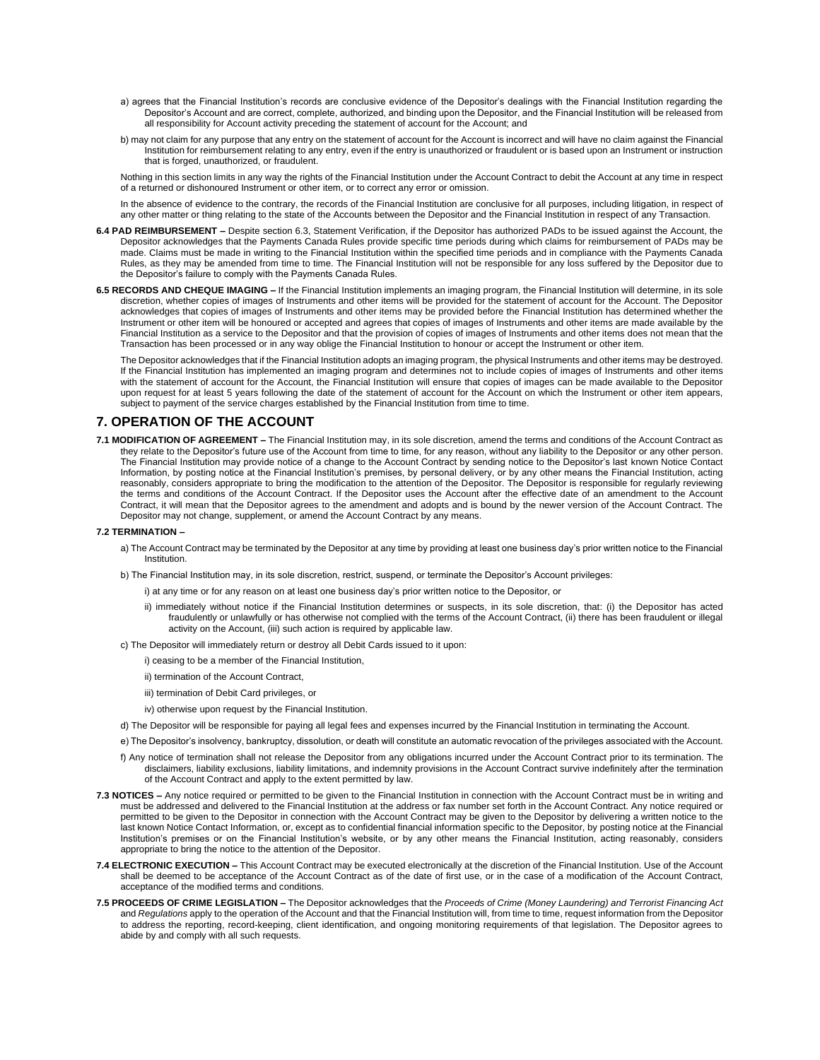- a) agrees that the Financial Institution's records are conclusive evidence of the Depositor's dealings with the Financial Institution regarding the Depositor's Account and are correct, complete, authorized, and binding upon the Depositor, and the Financial Institution will be released from all responsibility for Account activity preceding the statement of account for the Account; and
- b) may not claim for any purpose that any entry on the statement of account for the Account is incorrect and will have no claim against the Financial Institution for reimbursement relating to any entry, even if the entry is unauthorized or fraudulent or is based upon an Instrument or instruction that is forged, unauthorized, or fraudulent.

Nothing in this section limits in any way the rights of the Financial Institution under the Account Contract to debit the Account at any time in respect of a returned or dishonoured Instrument or other item, or to correct any error or omission.

In the absence of evidence to the contrary, the records of the Financial Institution are conclusive for all purposes, including litigation, in respect of any other matter or thing relating to the state of the Accounts between the Depositor and the Financial Institution in respect of any Transaction.

- **6.4 PAD REIMBURSEMENT –** Despite section 6.3, Statement Verification, if the Depositor has authorized PADs to be issued against the Account, the Depositor acknowledges that the Payments Canada Rules provide specific time periods during which claims for reimbursement of PADs may be made. Claims must be made in writing to the Financial Institution within the specified time periods and in compliance with the Payments Canada Rules, as they may be amended from time to time. The Financial Institution will not be responsible for any loss suffered by the Depositor due to the Depositor's failure to comply with the Payments Canada Rules.
- **6.5 RECORDS AND CHEQUE IMAGING –** If the Financial Institution implements an imaging program, the Financial Institution will determine, in its sole discretion, whether copies of images of Instruments and other items will be provided for the statement of account for the Account. The Depositor acknowledges that copies of images of Instruments and other items may be provided before the Financial Institution has determined whether the Instrument or other item will be honoured or accepted and agrees that copies of images of Instruments and other items are made available by the Financial Institution as a service to the Depositor and that the provision of copies of images of Instruments and other items does not mean that the Transaction has been processed or in any way oblige the Financial Institution to honour or accept the Instrument or other item.

The Depositor acknowledges that if the Financial Institution adopts an imaging program, the physical Instruments and other items may be destroyed. If the Financial Institution has implemented an imaging program and determines not to include copies of images of Instruments and other items with the statement of account for the Account, the Financial Institution will ensure that copies of images can be made available to the Depositor upon request for at least 5 years following the date of the statement of account for the Account on which the Instrument or other item appears, subject to payment of the service charges established by the Financial Institution from time to time.

## **7. OPERATION OF THE ACCOUNT**

**7.1 MODIFICATION OF AGREEMENT –** The Financial Institution may, in its sole discretion, amend the terms and conditions of the Account Contract as they relate to the Depositor's future use of the Account from time to time, for any reason, without any liability to the Depositor or any other person. The Financial Institution may provide notice of a change to the Account Contract by sending notice to the Depositor's last known Notice Contact Information, by posting notice at the Financial Institution's premises, by personal delivery, or by any other means the Financial Institution, acting reasonably, considers appropriate to bring the modification to the attention of the Depositor. The Depositor is responsible for regularly reviewing the terms and conditions of the Account Contract. If the Depositor uses the Account after the effective date of an amendment to the Account Contract, it will mean that the Depositor agrees to the amendment and adopts and is bound by the newer version of the Account Contract. The Depositor may not change, supplement, or amend the Account Contract by any means.

### **7.2 TERMINATION –**

- a) The Account Contract may be terminated by the Depositor at any time by providing at least one business day's prior written notice to the Financial Institution.
- b) The Financial Institution may, in its sole discretion, restrict, suspend, or terminate the Depositor's Account privileges:
	- i) at any time or for any reason on at least one business day's prior written notice to the Depositor, or
		- ii) immediately without notice if the Financial Institution determines or suspects, in its sole discretion, that: (i) the Depositor has acted fraudulently or unlawfully or has otherwise not complied with the terms of the Account Contract, (ii) there has been fraudulent or illegal activity on the Account, (iii) such action is required by applicable law.
- c) The Depositor will immediately return or destroy all Debit Cards issued to it upon:
	- i) ceasing to be a member of the Financial Institution,
	- ii) termination of the Account Contract,
	- iii) termination of Debit Card privileges, or
	- iv) otherwise upon request by the Financial Institution.
- d) The Depositor will be responsible for paying all legal fees and expenses incurred by the Financial Institution in terminating the Account.
- e) The Depositor's insolvency, bankruptcy, dissolution, or death will constitute an automatic revocation of the privileges associated with the Account.
- f) Any notice of termination shall not release the Depositor from any obligations incurred under the Account Contract prior to its termination. The disclaimers, liability exclusions, liability limitations, and indemnity provisions in the Account Contract survive indefinitely after the termination of the Account Contract and apply to the extent permitted by law.
- **7.3 NOTICES –** Any notice required or permitted to be given to the Financial Institution in connection with the Account Contract must be in writing and must be addressed and delivered to the Financial Institution at the address or fax number set forth in the Account Contract. Any notice required or permitted to be given to the Depositor in connection with the Account Contract may be given to the Depositor by delivering a written notice to the last known Notice Contact Information, or, except as to confidential financial information specific to the Depositor, by posting notice at the Financial Institution's premises or on the Financial Institution's website, or by any other means the Financial Institution, acting reasonably, considers appropriate to bring the notice to the attention of the Depositor.
- **7.4 ELECTRONIC EXECUTION –** This Account Contract may be executed electronically at the discretion of the Financial Institution. Use of the Account shall be deemed to be acceptance of the Account Contract as of the date of first use, or in the case of a modification of the Account Contract, acceptance of the modified terms and conditions.
- **7.5 PROCEEDS OF CRIME LEGISLATION –** The Depositor acknowledges that the *Proceeds of Crime (Money Laundering) and Terrorist Financing Act*  and *Regulations* apply to the operation of the Account and that the Financial Institution will, from time to time, request information from the Depositor to address the reporting, record-keeping, client identification, and ongoing monitoring requirements of that legislation. The Depositor agrees to abide by and comply with all such requests.